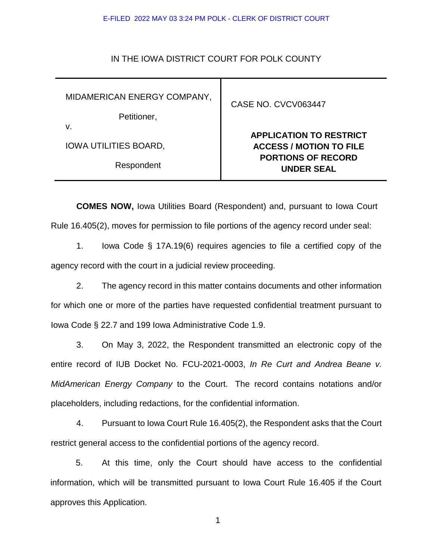## E-FILED 2022 MAY 03 3:24 PM POLK - CLERK OF DISTRICT COURT

## IN THE IOWA DISTRICT COURT FOR POLK COUNTY

MIDAMERICAN ENERGY COMPANY,

Petitioner,

v.

IOWA UTILITIES BOARD,

Respondent

CASE NO. CVCV063447

## **APPLICATION TO RESTRICT ACCESS / MOTION TO FILE PORTIONS OF RECORD UNDER SEAL**

**COMES NOW,** Iowa Utilities Board (Respondent) and, pursuant to Iowa Court Rule 16.405(2), moves for permission to file portions of the agency record under seal:

1. Iowa Code § 17A.19(6) requires agencies to file a certified copy of the agency record with the court in a judicial review proceeding.

2. The agency record in this matter contains documents and other information for which one or more of the parties have requested confidential treatment pursuant to Iowa Code § 22.7 and 199 Iowa Administrative Code 1.9.

3. On May 3, 2022, the Respondent transmitted an electronic copy of the entire record of IUB Docket No. FCU-2021-0003, *In Re Curt and Andrea Beane v. MidAmerican Energy Company* to the Court. The record contains notations and/or placeholders, including redactions, for the confidential information.

4. Pursuant to Iowa Court Rule 16.405(2), the Respondent asks that the Court restrict general access to the confidential portions of the agency record.

5. At this time, only the Court should have access to the confidential information, which will be transmitted pursuant to Iowa Court Rule 16.405 if the Court approves this Application.

1